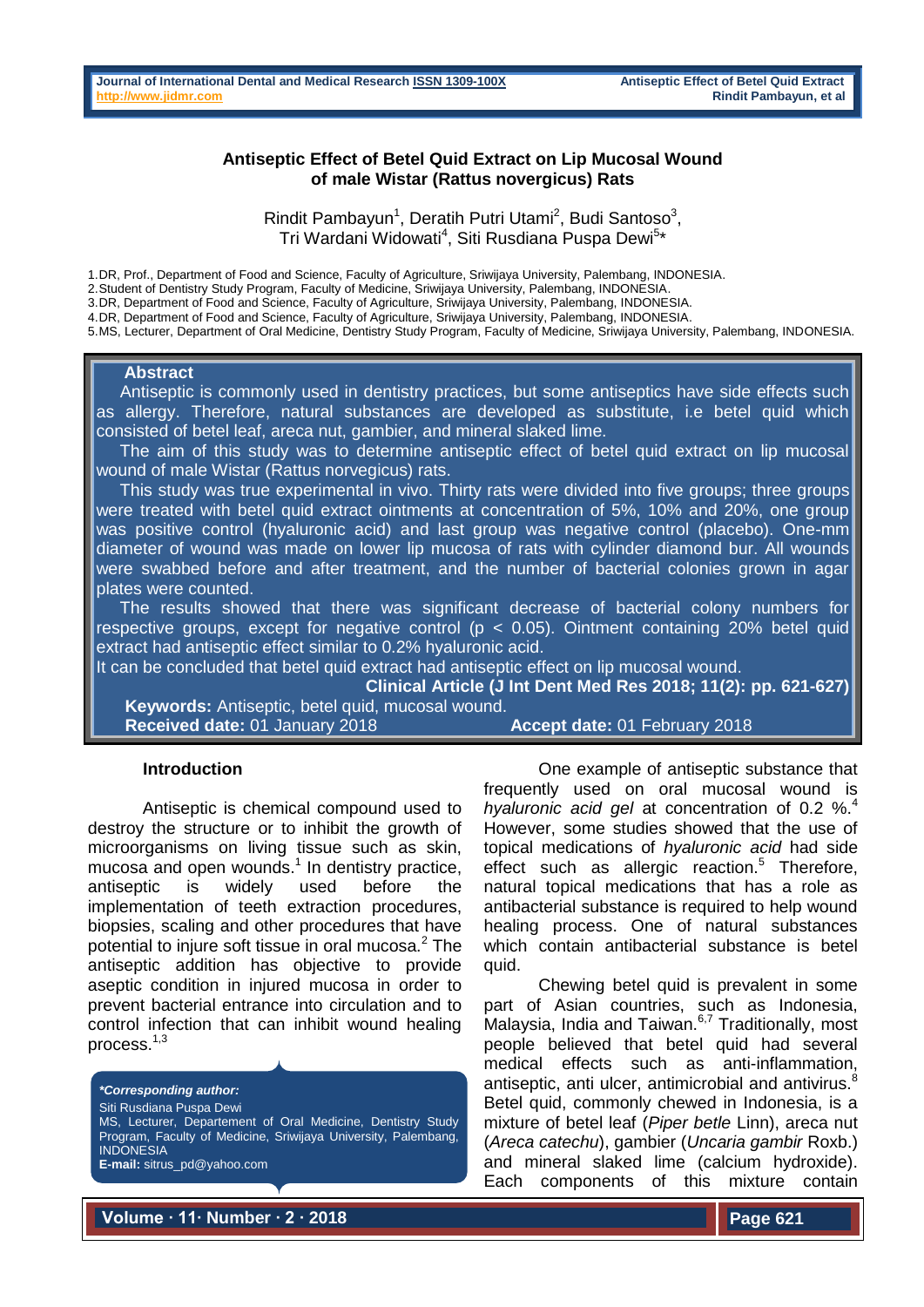### **Antiseptic Effect of Betel Quid Extract on Lip Mucosal Wound of male Wistar (Rattus novergicus) Rats**

Rindit Pambayun<sup>1</sup>, Deratih Putri Utami<sup>2</sup>, Budi Santoso<sup>3</sup>, Tri Wardani Widowati<sup>4</sup>, Siti Rusdiana Puspa Dewi<sup>5</sup>\*

1.DR, Prof., Department of Food and Science, Faculty of Agriculture, Sriwijaya University, Palembang, INDONESIA.

2.Student of Dentistry Study Program, Faculty of Medicine, Sriwijaya University, Palembang, INDONESIA.

3.DR, Department of Food and Science, Faculty of Agriculture, Sriwijaya University, Palembang, INDONESIA.

4.DR, Department of Food and Science, Faculty of Agriculture, Sriwijaya University, Palembang, INDONESIA.

5.MS, Lecturer, Department of Oral Medicine, Dentistry Study Program, Faculty of Medicine, Sriwijaya University, Palembang, INDONESIA.

#### **Abstract**

 Antiseptic is commonly used in dentistry practices, but some antiseptics have side effects such as allergy. Therefore, natural substances are developed as substitute, i.e betel quid which consisted of betel leaf, areca nut, gambier, and mineral slaked lime.

 The aim of this study was to determine antiseptic effect of betel quid extract on lip mucosal wound of male Wistar (Rattus norvegicus) rats.

This study was true experimental in vivo. Thirty rats were divided into five groups; three groups were treated with betel quid extract ointments at concentration of 5%, 10% and 20%, one group was positive control (hyaluronic acid) and last group was negative control (placebo). One-mm diameter of wound was made on lower lip mucosa of rats with cylinder diamond bur. All wounds were swabbed before and after treatment, and the number of bacterial colonies grown in agar plates were counted.

 The results showed that there was significant decrease of bacterial colony numbers for respective groups, except for negative control ( $p < 0.05$ ). Ointment containing 20% betel quid extract had antiseptic effect similar to 0.2% hyaluronic acid.

It can be concluded that betel quid extract had antiseptic effect on lip mucosal wound.

**Clinical Article (J Int Dent Med Res 2018; 11(2): pp. 621-627) Keywords:** Antiseptic, betel quid, mucosal wound.

**Received date:** 01 January 2018 **Accept date:** 01 February 2018

#### **Introduction**

Antiseptic is chemical compound used to destroy the structure or to inhibit the growth of microorganisms on living tissue such as skin, mucosa and open wounds.<sup>1</sup> In dentistry practice, antiseptic is widely used before the implementation of teeth extraction procedures, biopsies, scaling and other procedures that have potential to injure soft tissue in oral mucosa.<sup>2</sup> The antiseptic addition has objective to provide aseptic condition in injured mucosa in order to prevent bacterial entrance into circulation and to control infection that can inhibit wound healing process.1,3

*\*Corresponding author:* Siti Rusdiana Puspa Dewi MS, Lecturer, Departement of Oral Medicine, Dentistry Study Program, Faculty of Medicine, Sriwijaya University, Palembang, **INDONESIA** 

**E-mail:** sitrus\_pd@yahoo.com

One example of antiseptic substance that frequently used on oral mucosal wound is *hyaluronic acid gel* at concentration of 0.2 %.<sup>4</sup> However, some studies showed that the use of topical medications of *hyaluronic acid* had side effect such as allergic reaction. $5$  Therefore, natural topical medications that has a role as antibacterial substance is required to help wound healing process. One of natural substances which contain antibacterial substance is betel quid.

Chewing betel quid is prevalent in some part of Asian countries, such as Indonesia, Malaysia, India and Taiwan. $67$  Traditionally, most people believed that betel quid had several medical effects such as anti-inflammation, antiseptic, anti ulcer, antimicrobial and antivirus.<sup>8</sup> Betel quid, commonly chewed in Indonesia, is a mixture of betel leaf (*Piper betle* Linn), areca nut (*Areca catechu*), gambier (*Uncaria gambir* Roxb.) and mineral slaked lime (calcium hydroxide). Each components of this mixture contain

**Volume ∙ 11∙ Number ∙ 2 ∙ 2018**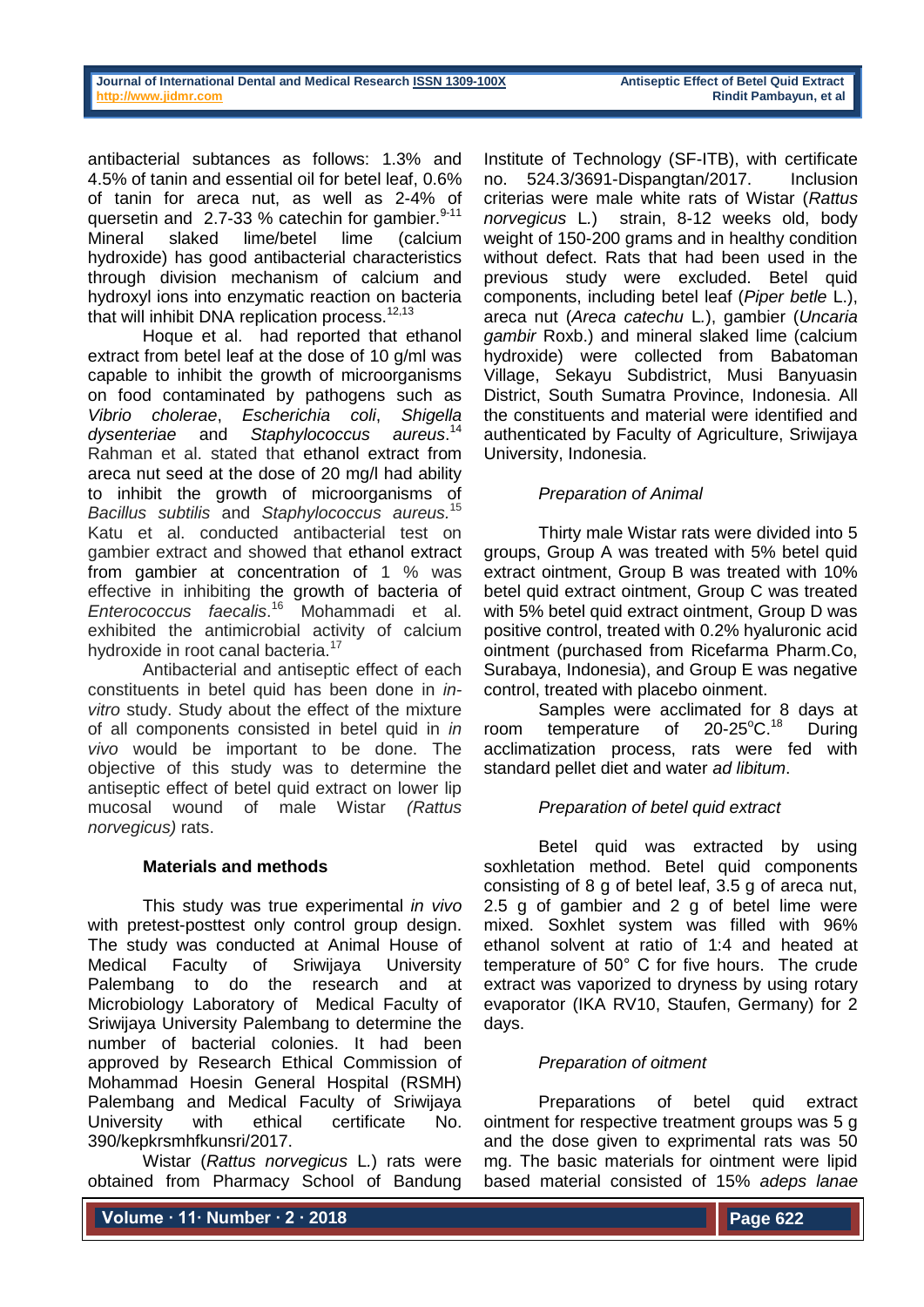antibacterial subtances as follows: 1.3% and 4.5% of tanin and essential oil for betel leaf, 0.6% of tanin for areca nut, as well as 2-4% of quersetin and  $2.7-33$  % catechin for gambier.<sup>9-11</sup> Mineral slaked lime/betel lime (calcium hydroxide) has good antibacterial characteristics through division mechanism of calcium and hydroxyl ions into enzymatic reaction on bacteria that will inhibit DNA replication process. $12,13$ 

Hoque et al. had reported that ethanol extract from betel leaf at the dose of 10 g/ml was capable to inhibit the growth of microorganisms on food contaminated by pathogens such as *Vibrio cholerae*, *Escherichia coli*, *Shigella dysenteriae* and *Staphylococcus* aureus.<sup>14</sup> Rahman et al. stated that ethanol extract from areca nut seed at the dose of 20 mg/l had ability to inhibit the growth of microorganisms of *Bacillus subtilis* and *Staphylococcus aureus.*<sup>15</sup> Katu et al. conducted antibacterial test on gambier extract and showed that ethanol extract from gambier at concentration of 1 % was effective in inhibiting the growth of bacteria of *Enterococcus faecalis*. <sup>16</sup> Mohammadi et al. exhibited the antimicrobial activity of calcium hydroxide in root canal bacteria.<sup>17</sup>

Antibacterial and antiseptic effect of each constituents in betel quid has been done in *invitro* study. Study about the effect of the mixture of all components consisted in betel quid in *in vivo* would be important to be done. The objective of this study was to determine the antiseptic effect of betel quid extract on lower lip mucosal wound of male Wistar *(Rattus norvegicus)* rats.

### **Materials and methods**

This study was true experimental *in vivo* with pretest-posttest only control group design. The study was conducted at Animal House of Medical Faculty of Sriwijaya University Palembang to do the research and at Microbiology Laboratory of Medical Faculty of Sriwijaya University Palembang to determine the number of bacterial colonies. It had been approved by Research Ethical Commission of Mohammad Hoesin General Hospital (RSMH) Palembang and Medical Faculty of Sriwijaya University with ethical certificate No. 390/kepkrsmhfkunsri/2017.

Wistar (*Rattus norvegicus* L*.*) rats were obtained from Pharmacy School of Bandung Institute of Technology (SF-ITB), with certificate no. 524.3/3691-Dispangtan/2017. Inclusion criterias were male white rats of Wistar (*Rattus norvegicus* L*.*) strain, 8-12 weeks old, body weight of 150-200 grams and in healthy condition without defect. Rats that had been used in the previous study were excluded. Betel quid components, including betel leaf (*Piper betle* L.), areca nut (*Areca catechu* L*.*), gambier (*Uncaria gambir* Roxb.) and mineral slaked lime (calcium hydroxide) were collected from Babatoman Village, Sekayu Subdistrict, Musi Banyuasin District, South Sumatra Province, Indonesia. All the constituents and material were identified and authenticated by Faculty of Agriculture, Sriwijaya University, Indonesia.

# *Preparation of Animal*

Thirty male Wistar rats were divided into 5 groups, Group A was treated with 5% betel quid extract ointment, Group B was treated with 10% betel quid extract ointment, Group C was treated with 5% betel quid extract ointment, Group D was positive control, treated with 0.2% hyaluronic acid ointment (purchased from Ricefarma Pharm.Co, Surabaya, Indonesia), and Group E was negative control, treated with placebo oinment.

Samples were acclimated for 8 days at room temperature of  $20-25^{\circ}C.^{18}$ During acclimatization process, rats were fed with standard pellet diet and water *ad libitum*.

# *Preparation of betel quid extract*

Betel quid was extracted by using soxhletation method. Betel quid components consisting of 8 g of betel leaf, 3.5 g of areca nut, 2.5 g of gambier and 2 g of betel lime were mixed. Soxhlet system was filled with 96% ethanol solvent at ratio of 1:4 and heated at temperature of 50° C for five hours. The crude extract was vaporized to dryness by using rotary evaporator (IKA RV10, Staufen, Germany) for 2 days.

# *Preparation of oitment*

Preparations of betel quid extract ointment for respective treatment groups was 5 g and the dose given to exprimental rats was 50 mg. The basic materials for ointment were lipid based material consisted of 15% *adeps lanae*

**Volume ∙ 11∙ Number ∙ 2 ∙ 2018**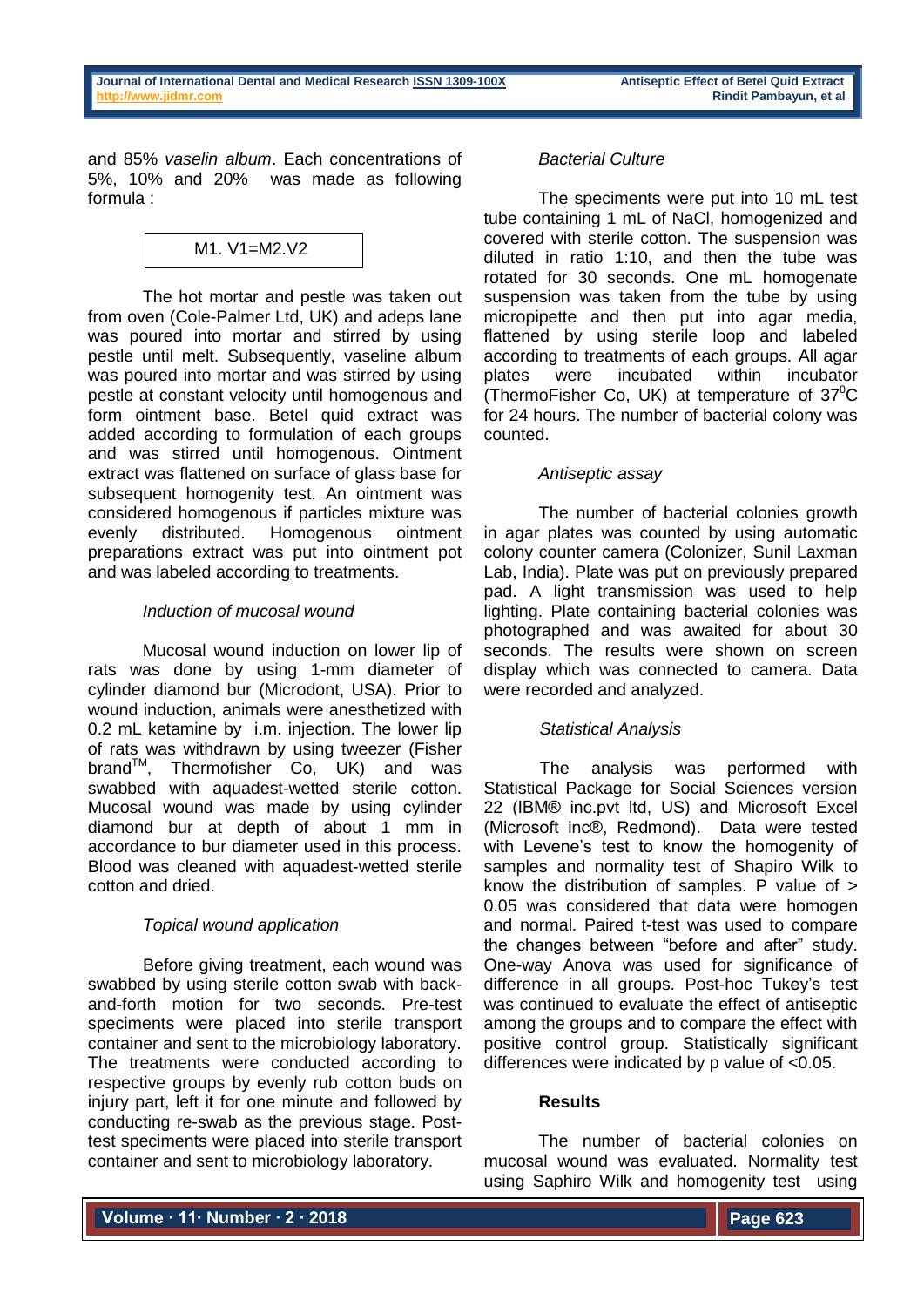and 85% *vaselin album*. Each concentrations of 5%, 10% and 20% was made as following formula :



The hot mortar and pestle was taken out from oven (Cole-Palmer Ltd, UK) and adeps lane was poured into mortar and stirred by using pestle until melt. Subsequently, vaseline album was poured into mortar and was stirred by using pestle at constant velocity until homogenous and form ointment base. Betel quid extract was added according to formulation of each groups and was stirred until homogenous. Ointment extract was flattened on surface of glass base for subsequent homogenity test. An ointment was considered homogenous if particles mixture was evenly distributed. Homogenous ointment preparations extract was put into ointment pot and was labeled according to treatments.

### *Induction of mucosal wound*

Mucosal wound induction on lower lip of rats was done by using 1-mm diameter of cylinder diamond bur (Microdont, USA). Prior to wound induction, animals were anesthetized with 0.2 mL ketamine by i.m. injection. The lower lip of rats was withdrawn by using tweezer (Fisher  $brand^{\text{TM}}$ , Thermofisher Co, UK) and was swabbed with aquadest-wetted sterile cotton. Mucosal wound was made by using cylinder diamond bur at depth of about 1 mm in accordance to bur diameter used in this process. Blood was cleaned with aquadest-wetted sterile cotton and dried.

# *Topical wound application*

Before giving treatment, each wound was swabbed by using sterile cotton swab with backand-forth motion for two seconds. Pre-test speciments were placed into sterile transport container and sent to the microbiology laboratory. The treatments were conducted according to respective groups by evenly rub cotton buds on injury part, left it for one minute and followed by conducting re-swab as the previous stage. Posttest speciments were placed into sterile transport container and sent to microbiology laboratory.

# *Bacterial Culture*

The speciments were put into 10 mL test tube containing 1 mL of NaCl, homogenized and covered with sterile cotton. The suspension was diluted in ratio 1:10, and then the tube was rotated for 30 seconds. One mL homogenate suspension was taken from the tube by using micropipette and then put into agar media, flattened by using sterile loop and labeled according to treatments of each groups. All agar plates were incubated within incubator (ThermoFisher Co, UK) at temperature of  $37^0C$ for 24 hours. The number of bacterial colony was counted.

# *Antiseptic assay*

The number of bacterial colonies growth in agar plates was counted by using automatic colony counter camera (Colonizer, Sunil Laxman Lab, India). Plate was put on previously prepared pad. A light transmission was used to help lighting. Plate containing bacterial colonies was photographed and was awaited for about 30 seconds. The results were shown on screen display which was connected to camera. Data were recorded and analyzed.

# *Statistical Analysis*

The analysis was performed with Statistical Package for Social Sciences version 22 (IBM® inc.pvt ltd, US) and Microsoft Excel (Microsoft inc®, Redmond). Data were tested with Levene's test to know the homogenity of samples and normality test of Shapiro Wilk to know the distribution of samples. P value of > 0.05 was considered that data were homogen and normal. Paired t-test was used to compare the changes between "before and after" study. One-way Anova was used for significance of difference in all groups. Post-hoc Tukey's test was continued to evaluate the effect of antiseptic among the groups and to compare the effect with positive control group. Statistically significant differences were indicated by p value of <0.05.

### **Results**

The number of bacterial colonies on mucosal wound was evaluated. Normality test using Saphiro Wilk and homogenity test using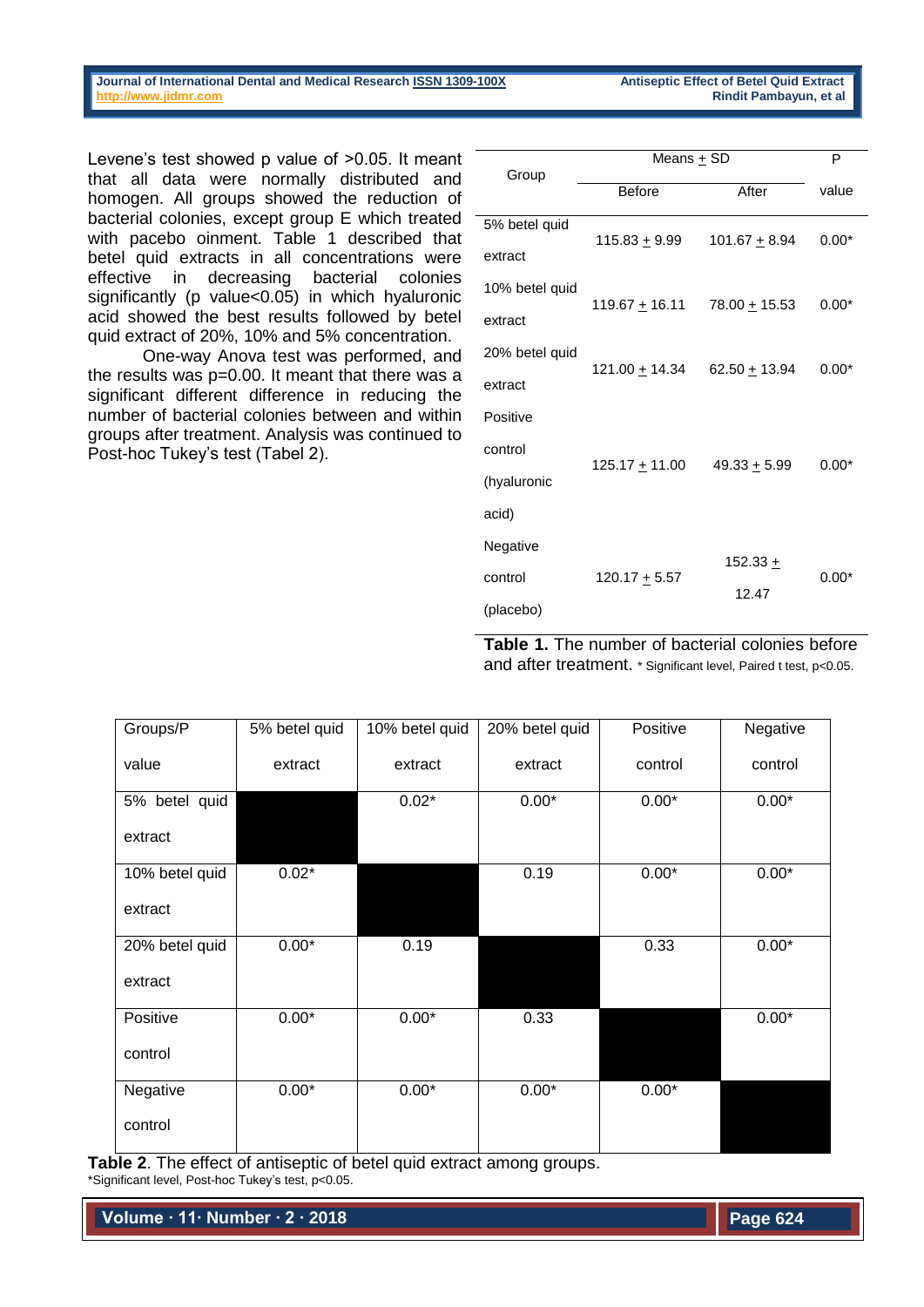**Journal of International Dental and Medical Researc[h ISSN 1309-100X](http://www.ektodermaldisplazi.com/dergi.htm) Antiseptic Effect of Betel Quid Extract [http://www.jidmr.com](http://www.jidmr.com/) Rindit Pambayun, et al**

Levene's test showed p value of >0.05. It meant that all data were normally distributed and homogen. All groups showed the reduction of bacterial colonies, except group E which treated with pacebo oinment. Table 1 described that betel quid extracts in all concentrations were effective in decreasing bacterial colonies significantly (p value<0.05) in which hyaluronic acid showed the best results followed by betel quid extract of 20%, 10% and 5% concentration.

One-way Anova test was performed, and the results was p=0.00. It meant that there was a significant different difference in reducing the number of bacterial colonies between and within groups after treatment. Analysis was continued to Post-hoc Tukey's test (Tabel 2).

| Group          | Means + SD            | P                 |         |
|----------------|-----------------------|-------------------|---------|
|                | <b>Before</b>         | After             | value   |
| 5% betel quid  | 115.83 <u>+</u> 9.99  | 101.67 $\pm$ 8.94 | $0.00*$ |
| extract        |                       |                   |         |
| 10% betel quid |                       |                   | $0.00*$ |
| extract        | 119.67 <u>+</u> 16.11 | $78.00 + 15.53$   |         |
| 20% betel quid |                       |                   | $0.00*$ |
| extract        | 121.00 ± 14.34        | $62.50 + 13.94$   |         |
| Positive       |                       |                   |         |
| control        |                       | $49.33 + 5.99$    | $0.00*$ |
| (hyaluronic    | 125.17 <u>+</u> 11.00 |                   |         |
| acid)          |                       |                   |         |
| Negative       |                       |                   |         |
| control        | 120.17 <u>+</u> 5.57  | $152.33 +$        | $0.00*$ |
| (placebo)      |                       | 12.47             |         |

**Table 1.** The number of bacterial colonies before and after treatment. \* Significant level, Paired t test, p<0.05.

| Groups/P       | 5% betel quid | 10% betel quid | 20% betel quid | Positive | Negative |
|----------------|---------------|----------------|----------------|----------|----------|
| value          | extract       | extract        | extract        | control  | control  |
| 5% betel quid  |               | $0.02*$        | $0.00*$        | $0.00*$  | $0.00*$  |
| extract        |               |                |                |          |          |
| 10% betel quid | $0.02*$       |                | 0.19           | $0.00*$  | $0.00*$  |
| extract        |               |                |                |          |          |
| 20% betel quid | $0.00*$       | 0.19           |                | 0.33     | $0.00*$  |
| extract        |               |                |                |          |          |
| Positive       | $0.00*$       | $0.00*$        | 0.33           |          | $0.00*$  |
| control        |               |                |                |          |          |
| Negative       | $0.00*$       | $0.00*$        | $0.00*$        | $0.00*$  |          |
| control        |               |                |                |          |          |

**Table 2**. The effect of antiseptic of betel quid extract among groups. \*Significant level, Post-hoc Tukey's test, p<0.05.

**Volume ∙ 11∙ Number ∙ 2 ∙ 2018**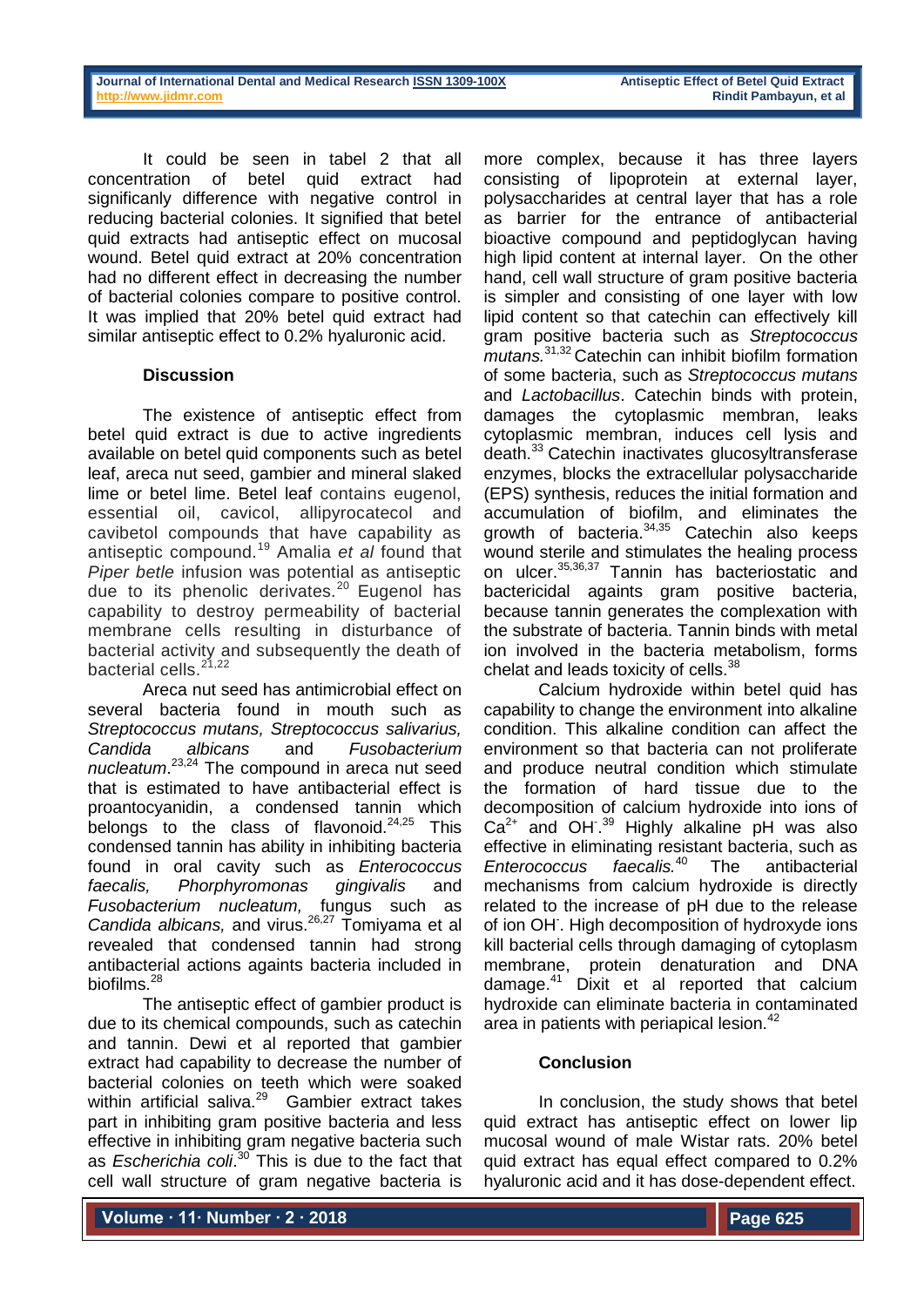It could be seen in tabel 2 that all concentration of betel quid extract had significanly difference with negative control in reducing bacterial colonies. It signified that betel quid extracts had antiseptic effect on mucosal wound. Betel quid extract at 20% concentration had no different effect in decreasing the number of bacterial colonies compare to positive control. It was implied that 20% betel quid extract had similar antiseptic effect to 0.2% hyaluronic acid.

### **Discussion**

The existence of antiseptic effect from betel quid extract is due to active ingredients available on betel quid components such as betel leaf, areca nut seed, gambier and mineral slaked lime or betel lime. Betel leaf contains eugenol, essential oil, cavicol, allipyrocatecol and cavibetol compounds that have capability as antiseptic compound.<sup>19</sup> Amalia *et al* found that *Piper betle* infusion was potential as antiseptic due to its phenolic derivates.<sup>20</sup> Eugenol has capability to destroy permeability of bacterial membrane cells resulting in disturbance of bacterial activity and subsequently the death of bacterial cells.<sup>21,22</sup>

Areca nut seed has antimicrobial effect on several bacteria found in mouth such as *Streptococcus mutans, Streptococcus salivarius, Candida albicans* and *Fusobacterium nucleatum*. 23,24 The compound in areca nut seed that is estimated to have antibacterial effect is proantocyanidin, a condensed tannin which belongs to the class of flavonoid. $24,25$  This condensed tannin has ability in inhibiting bacteria found in oral cavity such as *Enterococcus faecalis, Phorphyromonas gingivalis* and *Fusobacterium nucleatum,* fungus such as Candida albicans, and virus.<sup>26,27</sup> Tomiyama et al revealed that condensed tannin had strong antibacterial actions againts bacteria included in biofilms.<sup>28</sup>

The antiseptic effect of gambier product is due to its chemical compounds, such as catechin and tannin. Dewi et al reported that gambier extract had capability to decrease the number of bacterial colonies on teeth which were soaked within artificial saliva.<sup>29</sup> Gambier extract takes part in inhibiting gram positive bacteria and less effective in inhibiting gram negative bacteria such as *Escherichia coli*. <sup>30</sup> This is due to the fact that cell wall structure of gram negative bacteria is

more complex, because it has three layers consisting of lipoprotein at external layer, polysaccharides at central layer that has a role as barrier for the entrance of antibacterial bioactive compound and peptidoglycan having high lipid content at internal layer. On the other hand, cell wall structure of gram positive bacteria is simpler and consisting of one layer with low lipid content so that catechin can effectively kill gram positive bacteria such as *Streptococcus mutans.*31,32 Catechin can inhibit biofilm formation of some bacteria, such as *Streptococcus mutans*  and *Lactobacillus*. Catechin binds with protein, damages the cytoplasmic membran, leaks cytoplasmic membran, induces cell lysis and death.<sup>33</sup> Catechin inactivates glucosyltransferase enzymes, blocks the extracellular polysaccharide (EPS) synthesis, reduces the initial formation and accumulation of biofilm, and eliminates the growth of bacteria.<sup>34,35</sup> Catechin also keeps wound sterile and stimulates the healing process on ulcer.35,36,37 Tannin has bacteriostatic and bactericidal againts gram positive bacteria, because tannin generates the complexation with the substrate of bacteria. Tannin binds with metal ion involved in the bacteria metabolism, forms chelat and leads toxicity of cells.<sup>38</sup>

Calcium hydroxide within betel quid has capability to change the environment into alkaline condition. This alkaline condition can affect the environment so that bacteria can not proliferate and produce neutral condition which stimulate the formation of hard tissue due to the decomposition of calcium hydroxide into ions of  $Ca<sup>2+</sup>$  and OH<sup>39</sup> Highly alkaline pH was also effective in eliminating resistant bacteria, such as *Enterococcus faecalis.<sup>40</sup>* The antibacterial mechanisms from calcium hydroxide is directly related to the increase of pH due to the release of ion OH. High decomposition of hydroxyde ions kill bacterial cells through damaging of cytoplasm membrane, protein denaturation and DNA damage.<sup>41</sup> Dixit et al reported that calcium hydroxide can eliminate bacteria in contaminated area in patients with periapical lesion.<sup>42</sup>

### **Conclusion**

In conclusion, the study shows that betel quid extract has antiseptic effect on lower lip mucosal wound of male Wistar rats. 20% betel quid extract has equal effect compared to 0.2% hyaluronic acid and it has dose-dependent effect.

**Volume ∙ 11∙ Number ∙ 2 ∙ 2018**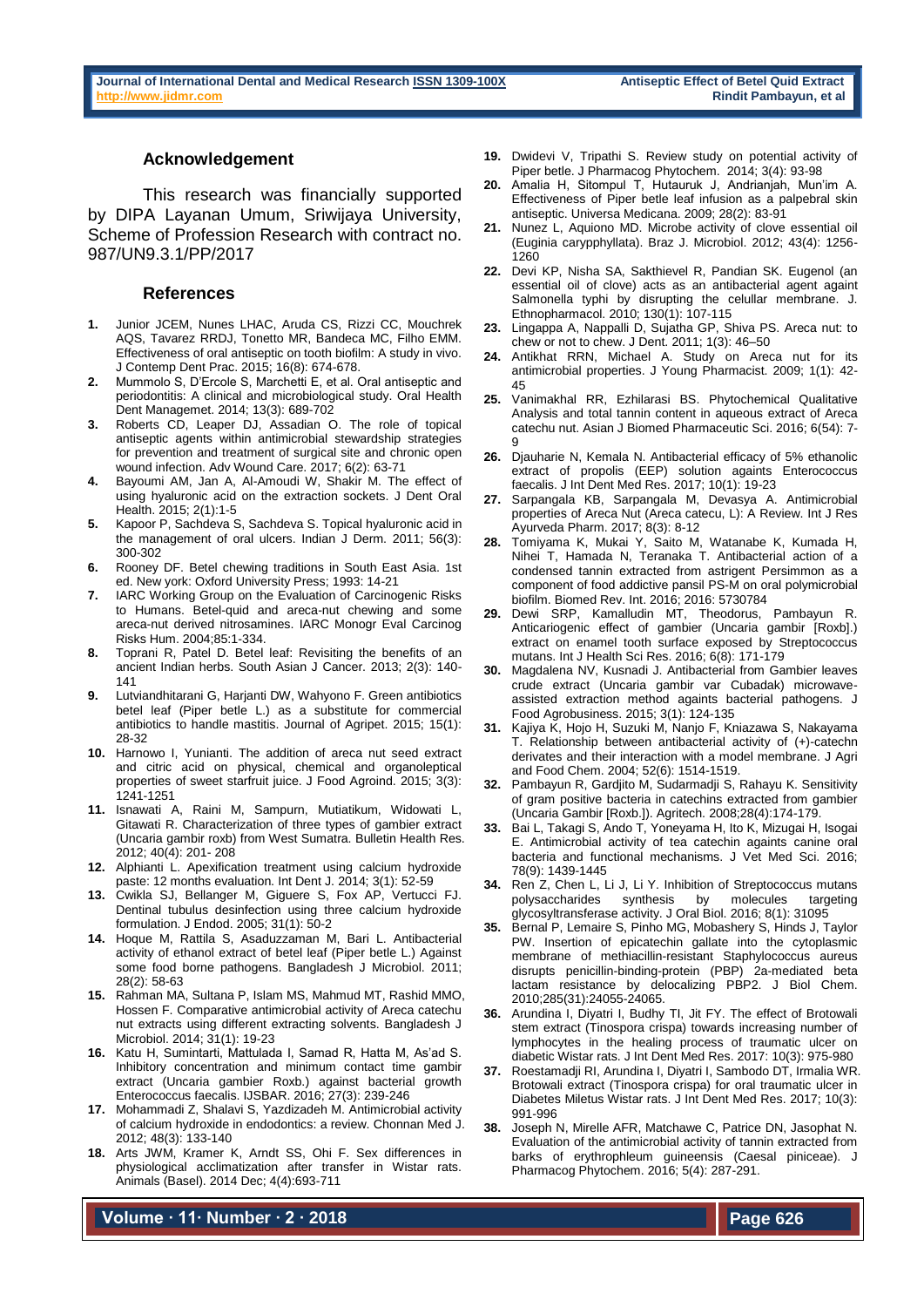#### **Acknowledgement**

This research was financially supported by DIPA Layanan Umum, Sriwijaya University, Scheme of Profession Research with contract no. 987/UN9.3.1/PP/2017

#### **References**

- **1.** Junior JCEM, Nunes LHAC, Aruda CS, Rizzi CC, Mouchrek AQS, Tavarez RRDJ, Tonetto MR, Bandeca MC, Filho EMM. Effectiveness of oral antiseptic on tooth biofilm: A study in vivo. J Contemp Dent Prac. 2015; 16(8): 674-678.
- **2.** Mummolo S, D'Ercole S, Marchetti E, et al. Oral antiseptic and periodontitis: A clinical and microbiological study. Oral Health Dent Managemet. 2014; 13(3): 689-702
- **3.** Roberts CD, Leaper DJ, Assadian O. The role of topical antiseptic agents within antimicrobial stewardship strategies for prevention and treatment of surgical site and chronic open wound infection. Adv Wound Care. 2017; 6(2): 63-71
- **4.** Bayoumi AM, Jan A, Al-Amoudi W, Shakir M. The effect of using hyaluronic acid on the extraction sockets. J Dent Oral Health. 2015; 2(1):1-5
- **5.** Kapoor P, Sachdeva S, Sachdeva S. Topical hyaluronic acid in the management of oral ulcers. Indian J Derm. 2011; 56(3): 300-302
- **6.** Rooney DF. Betel chewing traditions in South East Asia. 1st ed. New york: Oxford University Press; 1993: 14-21
- **7.** IARC Working Group on the Evaluation of Carcinogenic Risks to Humans. Betel-quid and areca-nut chewing and some areca-nut derived nitrosamines. IARC Monogr Eval Carcinog Risks Hum. 2004;85:1-334.
- **8.** Toprani R, Patel D. Betel leaf: Revisiting the benefits of an ancient Indian herbs. South Asian J Cancer. 2013; 2(3): 140- 141
- **9.** Lutviandhitarani G, Harjanti DW, Wahyono F. Green antibiotics betel leaf (Piper betle L.) as a substitute for commercial antibiotics to handle mastitis. Journal of Agripet. 2015; 15(1): 28-32
- **10.** Harnowo I, Yunianti. The addition of areca nut seed extract and citric acid on physical, chemical and organoleptical properties of sweet starfruit juice. J Food Agroind. 2015; 3(3): 1241-1251
- **11.** Isnawati A, Raini M, Sampurn, Mutiatikum, Widowati L, Gitawati R. Characterization of three types of gambier extract (Uncaria gambir roxb) from West Sumatra. Bulletin Health Res. 2012; 40(4): 201- 208
- **12.** Alphianti L. Apexification treatment using calcium hydroxide paste: 12 months evaluation. Int Dent J. 2014; 3(1): 52-59
- **13.** Cwikla SJ, Bellanger M, Giguere S, Fox AP, Vertucci FJ. Dentinal tubulus desinfection using three calcium hydroxide formulation. J Endod. 2005; 31(1): 50-2
- **14.** Hoque M, Rattila S, Asaduzzaman M, Bari L. Antibacterial activity of ethanol extract of betel leaf (Piper betle L.) Against some food borne pathogens. Bangladesh J Microbiol. 2011; 28(2): 58-63
- **15.** Rahman MA, Sultana P, Islam MS, Mahmud MT, Rashid MMO, Hossen F. Comparative antimicrobial activity of Areca catechu nut extracts using different extracting solvents. Bangladesh J Microbiol. 2014; 31(1): 19-23
- **16.** Katu H, Sumintarti, Mattulada I, Samad R, Hatta M, As'ad S. Inhibitory concentration and minimum contact time gambir extract (Uncaria gambier Roxb.) against bacterial growth Enterococcus faecalis. IJSBAR. 2016; 27(3): 239-246
- **17.** Mohammadi Z, Shalavi S, Yazdizadeh M. Antimicrobial activity of calcium hydroxide in endodontics: a review. Chonnan Med J. 2012; 48(3): 133-140
- **18.** Arts JWM, Kramer K, Arndt SS, Ohi F. Sex differences in physiological acclimatization after transfer in Wistar rats. Animals (Basel). 2014 Dec; 4(4):693-711

**Volume ∙ 11∙ Number ∙ 2 ∙ 2018**

- **19.** Dwidevi V, Tripathi S. Review study on potential activity of Piper betle. J Pharmacog Phytochem. 2014; 3(4): 93-98
- **20.** Amalia H, Sitompul T, Hutauruk J, Andrianjah, Mun'im A. Effectiveness of Piper betle leaf infusion as a palpebral skin antiseptic. Universa Medicana. 2009; 28(2): 83-91
- **21.** Nunez L, Aquiono MD. Microbe activity of clove essential oil (Euginia carypphyllata). Braz J. Microbiol. 2012; 43(4): 1256- 1260
- **22.** Devi KP, Nisha SA, Sakthievel R, Pandian SK. Eugenol (an essential oil of clove) acts as an antibacterial agent againt Salmonella typhi by disrupting the celullar membrane. J. Ethnopharmacol. 2010; 130(1): 107-115
- **23.** Lingappa A, Nappalli D, Sujatha GP, Shiva PS. Areca nut: to chew or not to chew. J Dent. 2011; 1(3): 46–50
- 24. Antikhat RRN, Michael A. Study on Areca nut for its antimicrobial properties. J Young Pharmacist. 2009; 1(1): 42- 45
- **25.** Vanimakhal RR, Ezhilarasi BS. Phytochemical Qualitative Analysis and total tannin content in aqueous extract of Areca catechu nut. Asian J Biomed Pharmaceutic Sci. 2016; 6(54): 7- 9
- **26.** Djauharie N, Kemala N. Antibacterial efficacy of 5% ethanolic extract of propolis (EEP) solution againts Enterococcus faecalis. J Int Dent Med Res. 2017; 10(1): 19-23
- **27.** Sarpangala KB, Sarpangala M, Devasya A. Antimicrobial properties of Areca Nut (Areca catecu, L): A Review. Int J Res Ayurveda Pharm. 2017; 8(3): 8-12
- **28.** Tomiyama K, Mukai Y, Saito M, Watanabe K, Kumada H, Nihei T, Hamada N, Teranaka T. Antibacterial action of a condensed tannin extracted from astrigent Persimmon as a component of food addictive pansil PS-M on oral polymicrobial biofilm. Biomed Rev. Int. 2016; 2016: 5730784
- **29.** Dewi SRP, Kamalludin MT, Theodorus, Pambayun R. Anticariogenic effect of gambier (Uncaria gambir [Roxb].) extract on enamel tooth surface exposed by Streptococcus mutans. Int J Health Sci Res. 2016; 6(8): 171-179
- **30.** Magdalena NV, Kusnadi J. Antibacterial from Gambier leaves crude extract (Uncaria gambir var Cubadak) microwaveassisted extraction method againts bacterial pathogens. J Food Agrobusiness. 2015; 3(1): 124-135
- **31.** Kajiya K, Hojo H, Suzuki M, Nanjo F, Kniazawa S, Nakayama T. Relationship between antibacterial activity of (+)-catechn derivates and their interaction with a model membrane. J Agri and Food Chem. 2004; 52(6): 1514-1519.
- **32.** Pambayun R, Gardjito M, Sudarmadji S, Rahayu K. Sensitivity of gram positive bacteria in catechins extracted from gambier (Uncaria Gambir [Roxb.]). Agritech. 2008;28(4):174-179.
- **33.** Bai L, Takagi S, Ando T, Yoneyama H, Ito K, Mizugai H, Isogai E. Antimicrobial activity of tea catechin againts canine oral bacteria and functional mechanisms. J Vet Med Sci. 2016; 78(9): 1439-1445
- **34.** Ren Z, Chen L, Li J, Li Y. Inhibition of Streptococcus mutans polysaccharides synthesis by molecules targeting glycosyltransferase activity. J Oral Biol. 2016; 8(1): 31095
- **35.** Bernal P, Lemaire S, Pinho MG, Mobashery S, Hinds J, Taylor PW. Insertion of epicatechin gallate into the cytoplasmic membrane of methiacillin-resistant Staphylococcus aureus disrupts penicillin-binding-protein (PBP) 2a-mediated beta lactam resistance by delocalizing PBP2. J Biol Chem. 2010;285(31):24055-24065.
- **36.** Arundina I, Diyatri I, Budhy TI, Jit FY. The effect of Brotowali stem extract (Tinospora crispa) towards increasing number of lymphocytes in the healing process of traumatic ulcer on diabetic Wistar rats. J Int Dent Med Res. 2017: 10(3): 975-980
- **37.** Roestamadji RI, Arundina I, Diyatri I, Sambodo DT, Irmalia WR. Brotowali extract (Tinospora crispa) for oral traumatic ulcer in Diabetes Miletus Wistar rats. J Int Dent Med Res. 2017; 10(3): 991-996
- **38.** Joseph N, Mirelle AFR, Matchawe C, Patrice DN, Jasophat N. Evaluation of the antimicrobial activity of tannin extracted from barks of erythrophleum guineensis (Caesal piniceae). J Pharmacog Phytochem. 2016; 5(4): 287-291.